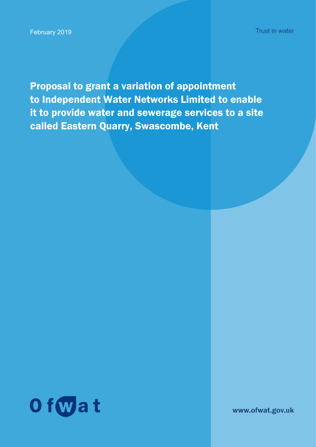Proposal to grant a variation of appointment to Independent Water Networks Limited to enable it to provide water and sewerage services to a site called Eastern Quarry, Swascombe, Kent



www.ofwat.gov.uk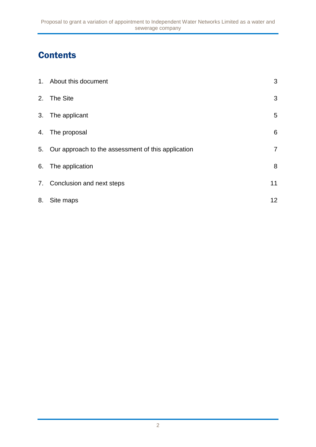# **Contents**

|    | 1. About this document                                | 3              |
|----|-------------------------------------------------------|----------------|
|    | 2. The Site                                           | 3              |
|    | 3. The applicant                                      | 5              |
|    | 4. The proposal                                       | 6              |
|    | 5. Our approach to the assessment of this application | $\overline{7}$ |
|    | 6. The application                                    | 8              |
|    | 7. Conclusion and next steps                          | 11             |
| 8. | Site maps                                             | 12             |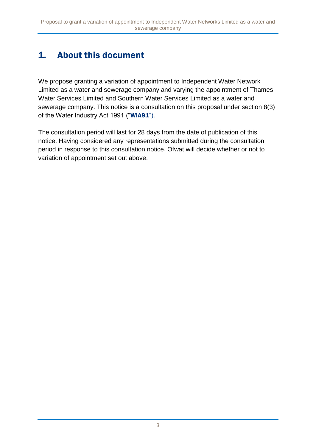# 1. About this document

We propose granting a variation of appointment to Independent Water Network Limited as a water and sewerage company and varying the appointment of Thames Water Services Limited and Southern Water Services Limited as a water and sewerage company. This notice is a consultation on this proposal under section 8(3) of the Water Industry Act 1991 ("WIA91").

The consultation period will last for 28 days from the date of publication of this notice. Having considered any representations submitted during the consultation period in response to this consultation notice, Ofwat will decide whether or not to variation of appointment set out above.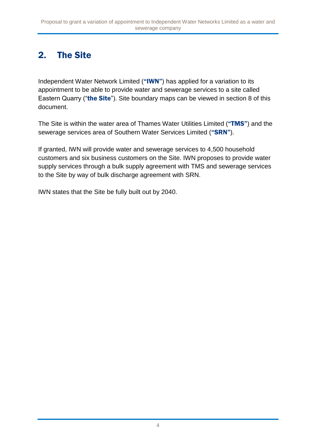## 2. The Site

Independent Water Network Limited ("IWN") has applied for a variation to its appointment to be able to provide water and sewerage services to a site called Eastern Quarry ("the Site"). Site boundary maps can be viewed in section 8 of this document.

The Site is within the water area of Thames Water Utilities Limited ("TMS") and the sewerage services area of Southern Water Services Limited ("SRN").

If granted, IWN will provide water and sewerage services to 4,500 household customers and six business customers on the Site. IWN proposes to provide water supply services through a bulk supply agreement with TMS and sewerage services to the Site by way of bulk discharge agreement with SRN.

IWN states that the Site be fully built out by 2040.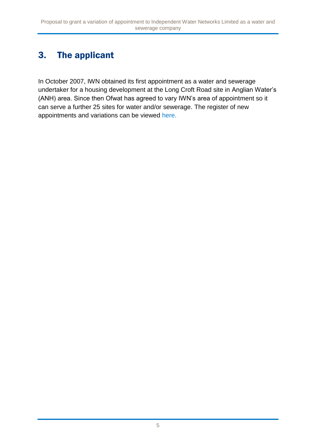# 3. The applicant

In October 2007, IWN obtained its first appointment as a water and sewerage undertaker for a housing development at the Long Croft Road site in Anglian Water's (ANH) area. Since then Ofwat has agreed to vary IWN's area of appointment so it can serve a further 25 sites for water and/or sewerage. The register of new appointments and variations can be viewed [here.](http://www.ofwat.gov.uk/publication/register-of-new-appointments-and-variations-granted-to-date/)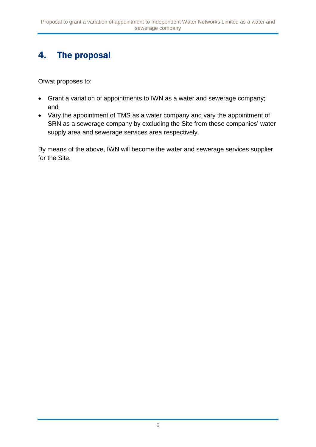## 4. The proposal

Ofwat proposes to:

- Grant a variation of appointments to IWN as a water and sewerage company; and
- Vary the appointment of TMS as a water company and vary the appointment of SRN as a sewerage company by excluding the Site from these companies' water supply area and sewerage services area respectively.

By means of the above, IWN will become the water and sewerage services supplier for the Site.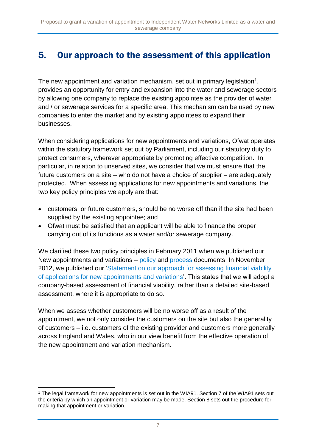## 5. Our approach to the assessment of this application

The new appointment and variation mechanism, set out in primary legislation<sup>1</sup>, provides an opportunity for entry and expansion into the water and sewerage sectors by allowing one company to replace the existing appointee as the provider of water and / or sewerage services for a specific area. This mechanism can be used by new companies to enter the market and by existing appointees to expand their businesses.

When considering applications for new appointments and variations, Ofwat operates within the statutory framework set out by Parliament, including our statutory duty to protect consumers, wherever appropriate by promoting effective competition. In particular, in relation to unserved sites, we consider that we must ensure that the future customers on a site – who do not have a choice of supplier – are adequately protected. When assessing applications for new appointments and variations, the two key policy principles we apply are that:

- customers, or future customers, should be no worse off than if the site had been supplied by the existing appointee; and
- Ofwat must be satisfied that an applicant will be able to finance the proper carrying out of its functions as a water and/or sewerage company.

We clarified these two policy principles in February 2011 when we published our New appointments and variations – [policy](http://www.ofwat.gov.uk/wp-content/uploads/2015/11/pap_pos110228navpolicy.pdf) and [process](http://www.ofwat.gov.uk/publication/new-appointment-variation-applications-statement-process/) documents. In November 2012, we published our ['Statement on our approach for assessing financial viability](http://www.ofwat.gov.uk/wp-content/uploads/2015/12/pap_pos20121112navfinance.pdf)  [of applications for new appointments and variations'](http://www.ofwat.gov.uk/wp-content/uploads/2015/12/pap_pos20121112navfinance.pdf). This states that we will adopt a company-based assessment of financial viability, rather than a detailed site-based assessment, where it is appropriate to do so.

When we assess whether customers will be no worse off as a result of the appointment, we not only consider the customers on the site but also the generality of customers – i.e. customers of the existing provider and customers more generally across England and Wales, who in our view benefit from the effective operation of the new appointment and variation mechanism.

<sup>1</sup> <sup>1</sup> The legal framework for new appointments is set out in the WIA91. Section 7 of the WIA91 sets out the criteria by which an appointment or variation may be made. Section 8 sets out the procedure for making that appointment or variation.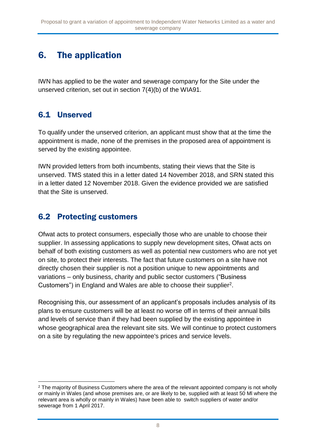## 6. The application

IWN has applied to be the water and sewerage company for the Site under the unserved criterion, set out in section 7(4)(b) of the WIA91.

### 6.1 Unserved

To qualify under the unserved criterion, an applicant must show that at the time the appointment is made, none of the premises in the proposed area of appointment is served by the existing appointee.

IWN provided letters from both incumbents, stating their views that the Site is unserved. TMS stated this in a letter dated 14 November 2018, and SRN stated this in a letter dated 12 November 2018. Given the evidence provided we are satisfied that the Site is unserved.

### 6.2 Protecting customers

Ofwat acts to protect consumers, especially those who are unable to choose their supplier. In assessing applications to supply new development sites, Ofwat acts on behalf of both existing customers as well as potential new customers who are not yet on site, to protect their interests. The fact that future customers on a site have not directly chosen their supplier is not a position unique to new appointments and variations – only business, charity and public sector customers ("Business Customers") in England and Wales are able to choose their supplier<sup>2</sup>.

Recognising this, our assessment of an applicant's proposals includes analysis of its plans to ensure customers will be at least no worse off in terms of their annual bills and levels of service than if they had been supplied by the existing appointee in whose geographical area the relevant site sits. We will continue to protect customers on a site by regulating the new appointee's prices and service levels.

<sup>1</sup> <sup>2</sup> The majority of Business Customers where the area of the relevant appointed company is not wholly or mainly in Wales (and whose premises are, or are likely to be, supplied with at least 50 Ml where the relevant area is wholly or mainly in Wales) have been able to switch suppliers of water and/or sewerage from 1 April 2017.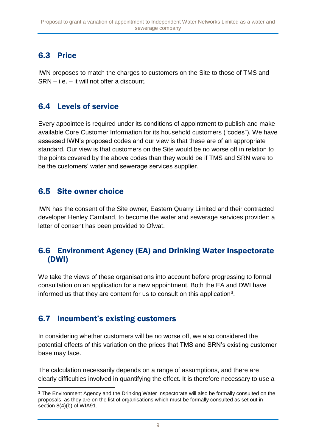## 6.3 Price

IWN proposes to match the charges to customers on the Site to those of TMS and SRN – i.e. – it will not offer a discount.

### 6.4 Levels of service

Every appointee is required under its conditions of appointment to publish and make available Core Customer Information for its household customers ("codes"). We have assessed IWN's proposed codes and our view is that these are of an appropriate standard. Our view is that customers on the Site would be no worse off in relation to the points covered by the above codes than they would be if TMS and SRN were to be the customers' water and sewerage services supplier.

### 6.5 Site owner choice

IWN has the consent of the Site owner, Eastern Quarry Limited and their contracted developer Henley Camland, to become the water and sewerage services provider; a letter of consent has been provided to Ofwat.

#### 6.6 Environment Agency (EA) and Drinking Water Inspectorate (DWI)

We take the views of these organisations into account before progressing to formal consultation on an application for a new appointment. Both the EA and DWI have informed us that they are content for us to consult on this application<sup>3</sup>.

### 6.7 Incumbent's existing customers

In considering whether customers will be no worse off, we also considered the potential effects of this variation on the prices that TMS and SRN's existing customer base may face.

The calculation necessarily depends on a range of assumptions, and there are clearly difficulties involved in quantifying the effect. It is therefore necessary to use a

<sup>1</sup> <sup>3</sup> The Environment Agency and the Drinking Water Inspectorate will also be formally consulted on the proposals, as they are on the list of organisations which must be formally consulted as set out in section 8(4)(b) of WIA91.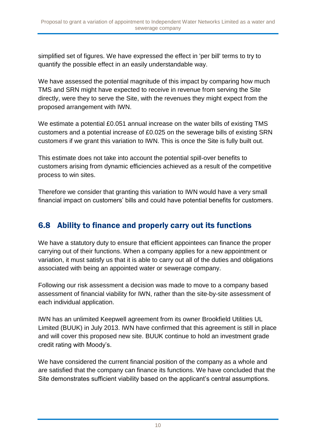simplified set of figures. We have expressed the effect in 'per bill' terms to try to quantify the possible effect in an easily understandable way.

We have assessed the potential magnitude of this impact by comparing how much TMS and SRN might have expected to receive in revenue from serving the Site directly, were they to serve the Site, with the revenues they might expect from the proposed arrangement with IWN.

We estimate a potential £0.051 annual increase on the water bills of existing TMS customers and a potential increase of £0.025 on the sewerage bills of existing SRN customers if we grant this variation to IWN. This is once the Site is fully built out.

This estimate does not take into account the potential spill-over benefits to customers arising from dynamic efficiencies achieved as a result of the competitive process to win sites.

Therefore we consider that granting this variation to IWN would have a very small financial impact on customers' bills and could have potential benefits for customers.

## 6.8 Ability to finance and properly carry out its functions

We have a statutory duty to ensure that efficient appointees can finance the proper carrying out of their functions. When a company applies for a new appointment or variation, it must satisfy us that it is able to carry out all of the duties and obligations associated with being an appointed water or sewerage company.

Following our risk assessment a decision was made to move to a company based assessment of financial viability for IWN, rather than the site-by-site assessment of each individual application.

IWN has an unlimited Keepwell agreement from its owner Brookfield Utilities UL Limited (BUUK) in July 2013. IWN have confirmed that this agreement is still in place and will cover this proposed new site. BUUK continue to hold an investment grade credit rating with Moody's.

We have considered the current financial position of the company as a whole and are satisfied that the company can finance its functions. We have concluded that the Site demonstrates sufficient viability based on the applicant's central assumptions.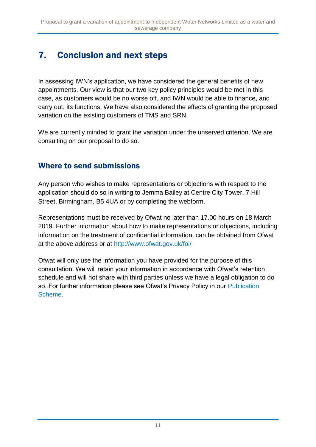# 7. Conclusion and next steps

In assessing IWN's application, we have considered the general benefits of new appointments. Our view is that our two key policy principles would be met in this case, as customers would be no worse off, and IWN would be able to finance, and carry out, its functions. We have also considered the effects of granting the proposed variation on the existing customers of TMS and SRN.

We are currently minded to grant the variation under the unserved criterion. We are consulting on our proposal to do so.

### Where to send submissions

Any person who wishes to make representations or objections with respect to the application should do so in writing to Jemma Bailey at Centre City Tower, 7 Hill Street, Birmingham, B5 4UA or by completing the webform.

Representations must be received by Ofwat no later than 17.00 hours on 18 March 2019. Further information about how to make representations or objections, including information on the treatment of confidential information, can be obtained from Ofwat at the above address or at<http://www.ofwat.gov.uk/foi/>

Ofwat will only use the information you have provided for the purpose of this consultation. We will retain your information in accordance with Ofwat's retention schedule and will not share with third parties unless we have a legal obligation to do so. For further information please see Ofwat's Privacy Policy in our [Publication](http://www.ofwat.gov.uk/publication/privacy-policy/)  [Scheme.](http://www.ofwat.gov.uk/publication/privacy-policy/)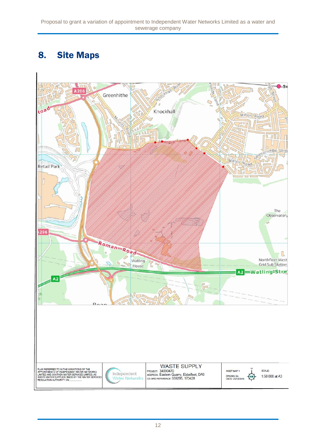## 8. Site Maps

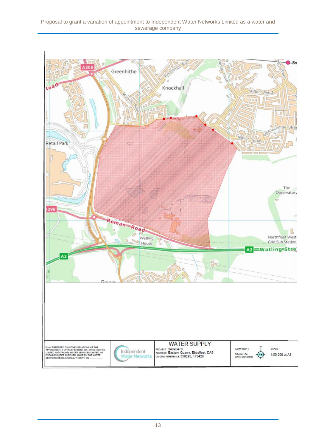